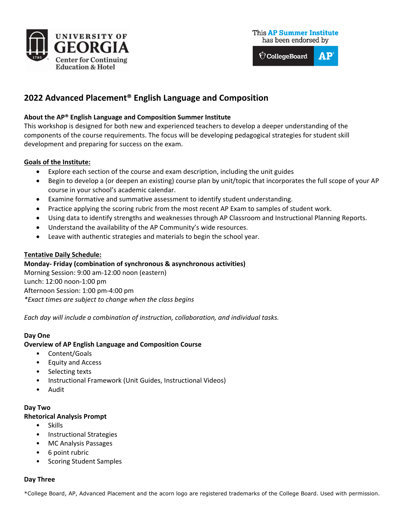

This AP Summer Institute has been endorsed by

 $\bigcirc$  CollegeBoard  $AP$ 

# **2022 Advanced Placement® English Language and Composition**

# **About the AP® English Language and Composition Summer Institute**

This workshop is designed for both new and experienced teachers to develop a deeper understanding of the components of the course requirements. The focus will be developing pedagogical strategies for student skill development and preparing for success on the exam.

# **Goals of the Institute:**

- Explore each section of the course and exam description, including the unit guides
- Begin to develop a (or deepen an existing) course plan by unit/topic that incorporates the full scope of your AP course in your school's academic calendar.
- Examine formative and summative assessment to identify student understanding.
- Practice applying the scoring rubric from the most recent AP Exam to samples of student work.
- Using data to identify strengths and weaknesses through AP Classroom and Instructional Planning Reports.
- Understand the availability of the AP Community's wide resources.
- Leave with authentic strategies and materials to begin the school year.

### **Tentative Daily Schedule:**

# **Monday- Friday (combination of synchronous & asynchronous activities)**

Morning Session: 9:00 am-12:00 noon (eastern) Lunch: 12:00 noon-1:00 pm Afternoon Session: 1:00 pm-4:00 pm *\*Exact times are subject to change when the class begins*

*Each day will include a combination of instruction, collaboration, and individual tasks.* 

### **Day One**

### **Overview of AP English Language and Composition Course**

- Content/Goals
- Equity and Access
- Selecting texts
- Instructional Framework (Unit Guides, Instructional Videos)
- Audit

### **Day Two**

### **Rhetorical Analysis Prompt**

- Skills
- Instructional Strategies
- MC Analysis Passages
- 6 point rubric
- Scoring Student Samples

### **Day Three**

\*College Board, AP, Advanced Placement and the acorn logo are registered trademarks of the College Board. Used with permission.